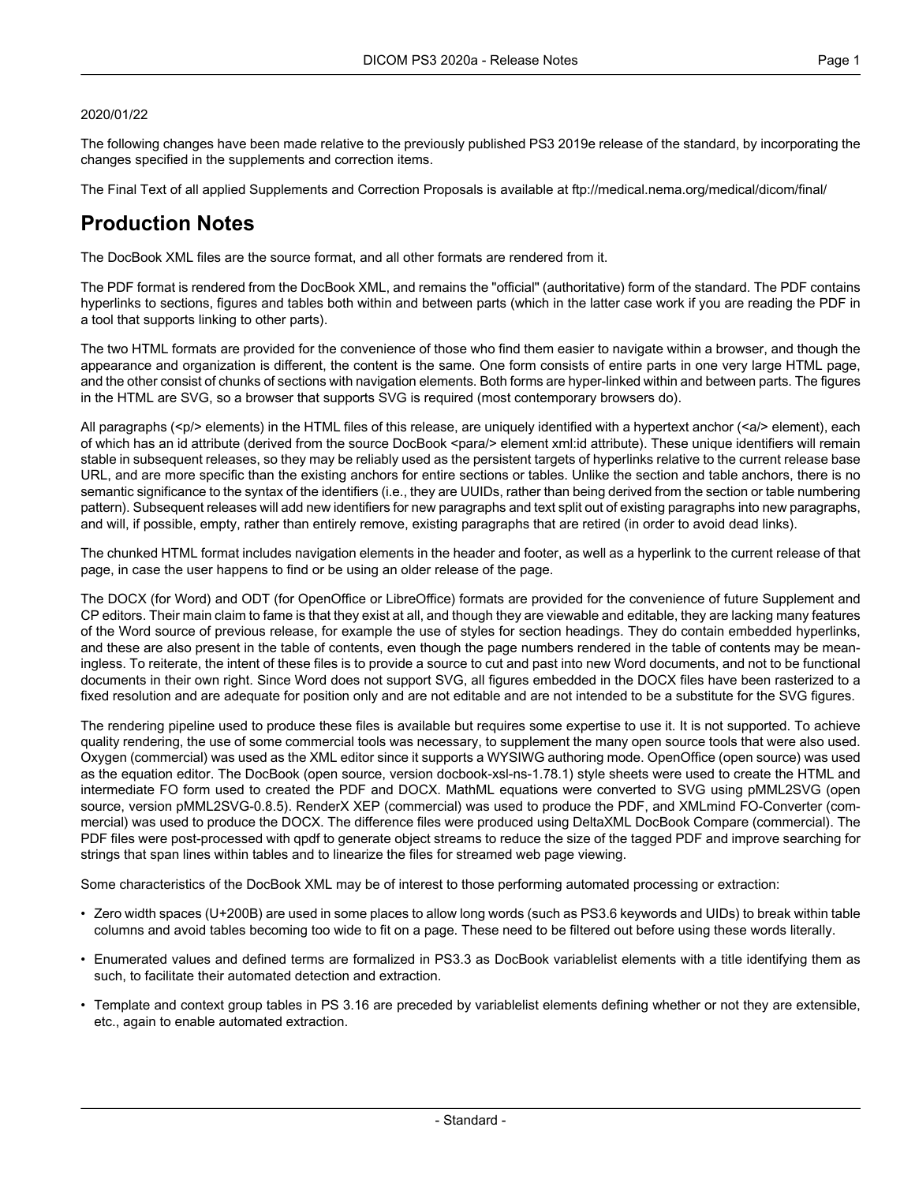#### 2020/01/22

The following changes have been made relative to the previously published PS3 2019e release of the standard, by incorporating the changes specified in the supplements and correction items.

The Final Text of all applied Supplements and Correction Proposals is available at <ftp://medical.nema.org/medical/dicom/final/>

# **Production Notes**

The DocBook XML files are the source format, and all other formats are rendered from it.

The PDF format is rendered from the DocBook XML, and remains the "official" (authoritative) form of the standard. The PDF contains hyperlinks to sections, figures and tables both within and between parts (which in the latter case work if you are reading the PDF in a tool that supports linking to other parts).

The two HTML formats are provided for the convenience of those who find them easier to navigate within a browser, and though the appearance and organization is different, the content is the same. One form consists of entire parts in one very large HTML page, and the other consist of chunks of sections with navigation elements. Both forms are hyper-linked within and between parts. The figures in the HTML are SVG, so a browser that supports SVG is required (most contemporary browsers do).

All paragraphs (<p/> elements) in the HTML files of this release, are uniquely identified with a hypertext anchor (<a/><a/>> element), each of which has an id attribute (derived from the source DocBook <para/> element xml:id attribute). These unique identifiers will remain stable in subsequent releases, so they may be reliably used as the persistent targets of hyperlinks relative to the current release base URL, and are more specific than the existing anchors for entire sections or tables. Unlike the section and table anchors, there is no semantic significance to the syntax of the identifiers (i.e., they are UUIDs, rather than being derived from the section or table numbering pattern). Subsequent releases will add new identifiers for new paragraphs and text split out of existing paragraphs into new paragraphs, and will, if possible, empty, rather than entirely remove, existing paragraphs that are retired (in order to avoid dead links).

The chunked HTML format includes navigation elements in the header and footer, as well as a hyperlink to the current release of that page, in case the user happens to find or be using an older release of the page.

The DOCX (for Word) and ODT (for OpenOffice or LibreOffice) formats are provided for the convenience of future Supplement and CP editors. Their main claim to fame is that they exist at all, and though they are viewable and editable, they are lacking many features of the Word source of previous release, for example the use of styles for section headings. They do contain embedded hyperlinks, and these are also present in the table of contents, even though the page numbers rendered in the table of contents may be mean ingless. To reiterate, the intent of these files is to provide a source to cut and past into new Word documents, and not to be functional documents in their own right. Since Word does not support SVG, all figures embedded in the DOCX files have been rasterized to a fixed resolution and are adequate for position only and are not editable and are not intended to be a substitute for the SVG figures.

The rendering pipeline used to produce these files is available but requires some expertise to use it. It is not supported. To achieve quality rendering, the use of some commercial tools was necessary, to supplement the many open source tools that were also used. Oxygen (commercial) was used as the XML editor since it supports a WYSIWG authoring mode. OpenOffice (open source) was used as the equation editor. The DocBook (open source, version docbook-xsl-ns-1.78.1) style sheets were used to create the HTML and intermediate FO form used to created the PDF and DOCX. MathML equations were converted to SVG using pMML2SVG (open source, version pMML2SVG-0.8.5). RenderX XEP (commercial) was used to produce the PDF, and XMLmind FO-Converter (com mercial) was used to produce the DOCX. The difference files were produced using DeltaXML DocBook Compare (commercial). The PDF files were post-processed with qpdf to generate object streams to reduce the size of the tagged PDF and improve searching for strings that span lines within tables and to linearize the files for streamed web page viewing.

Some characteristics of the DocBook XML may be of interest to those performing automated processing or extraction:

- Zero width spaces (U+200B) are used in some places to allow long words (such as PS3.6 keywords and UIDs) to break within table columns and avoid tables becoming too wide to fit on a page. These need to be filtered out before using these words literally.
- Enumerated values and defined terms are formalized in PS3.3 as DocBook variablelist elements with a title identifying them as such, to facilitate their automated detection and extraction.
- Template and context group tables in PS 3.16 are preceded by variablelist elements defining whether or not they are extensible, etc., again to enable automated extraction.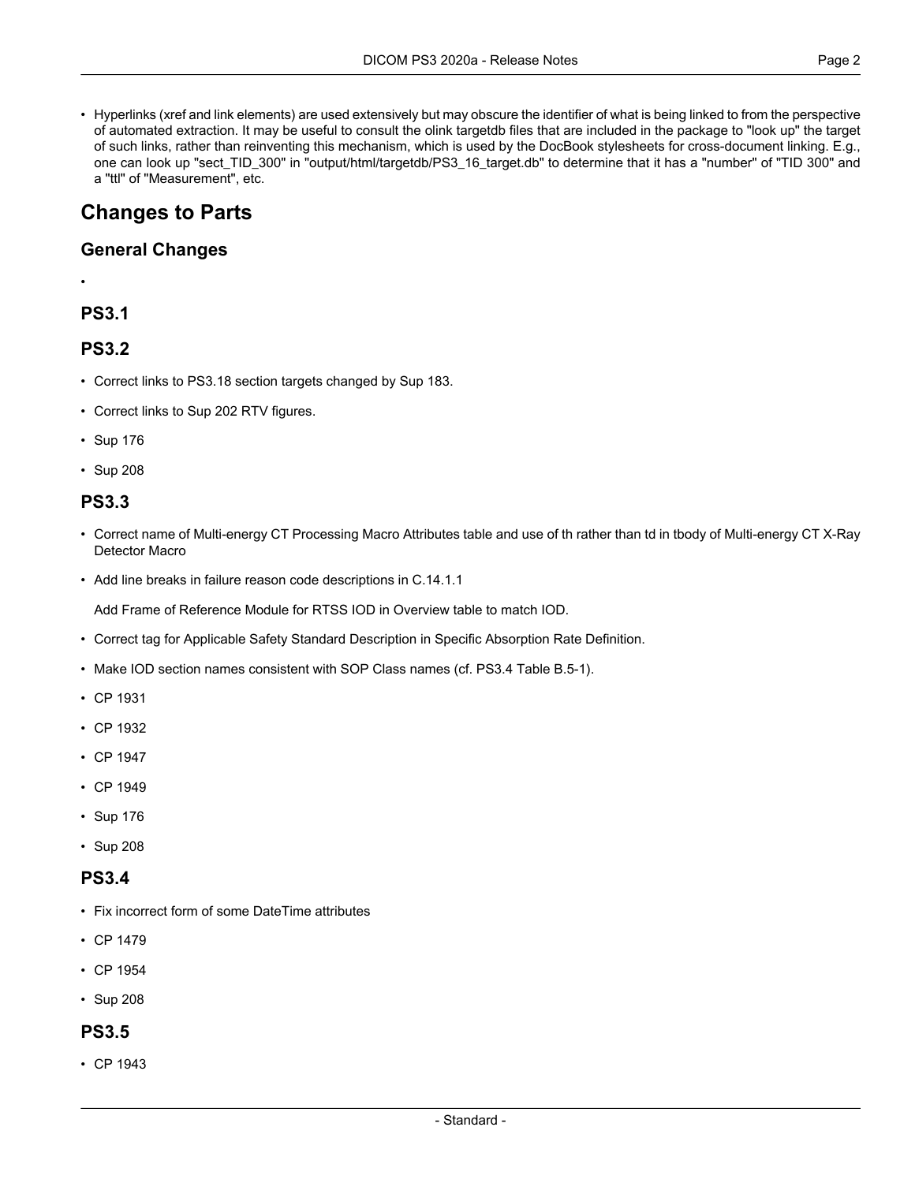• Hyperlinks (xref and link elements) are used extensively but may obscure the identifier of what is being linked to from the perspective of automated extraction. It may be useful to consult the olink targetdb files that are included in the package to "look up" the target of such links, rather than reinventing this mechanism, which is used by the DocBook stylesheets for cross-document linking. E.g., one can look up "sect\_TID\_300" in "output/html/targetdb/PS3\_16\_target.db" to determine that it has a "number" of "TID 300" and a "ttl" of "Measurement", etc.

# **Changes to Parts**

#### **General Changes**

#### •

### **PS3.1**

### **PS3.2**

- Correct links to PS3.18 section targets changed by Sup 183.
- Correct links to Sup 202 RTV figures.
- [Sup](#page-3-0) 176
- [Sup](#page-4-0) 208

### **PS3.3**

- Correct name of Multi-energy CT Processing Macro Attributes table and use of th rather than td in tbody of Multi-energy CT X-Ray Detector Macro
- Add line breaks in failure reason code descriptions in C.14.1.1

Add Frame of Reference Module for RTSS IOD in Overview table to match IOD.

- Correct tag for Applicable Safety Standard Description in Specific Absorption Rate Definition.
- Make IOD section names consistent with SOP Class names (cf. PS3.4 Table B.5-1).
- CP [1931](#page-4-1)
- CP [1932](#page-4-2)
- CP [1947](#page-4-3)
- CP [1949](#page-4-4)
- [Sup](#page-3-0) 176
- [Sup](#page-4-0) 208

#### **PS3.4**

- Fix incorrect form of some DateTime attributes
- CP [1479](#page-4-5)
- CP [1954](#page-5-0)
- [Sup](#page-4-0) 208

#### **PS3.5**

• CP [1943](#page-4-6)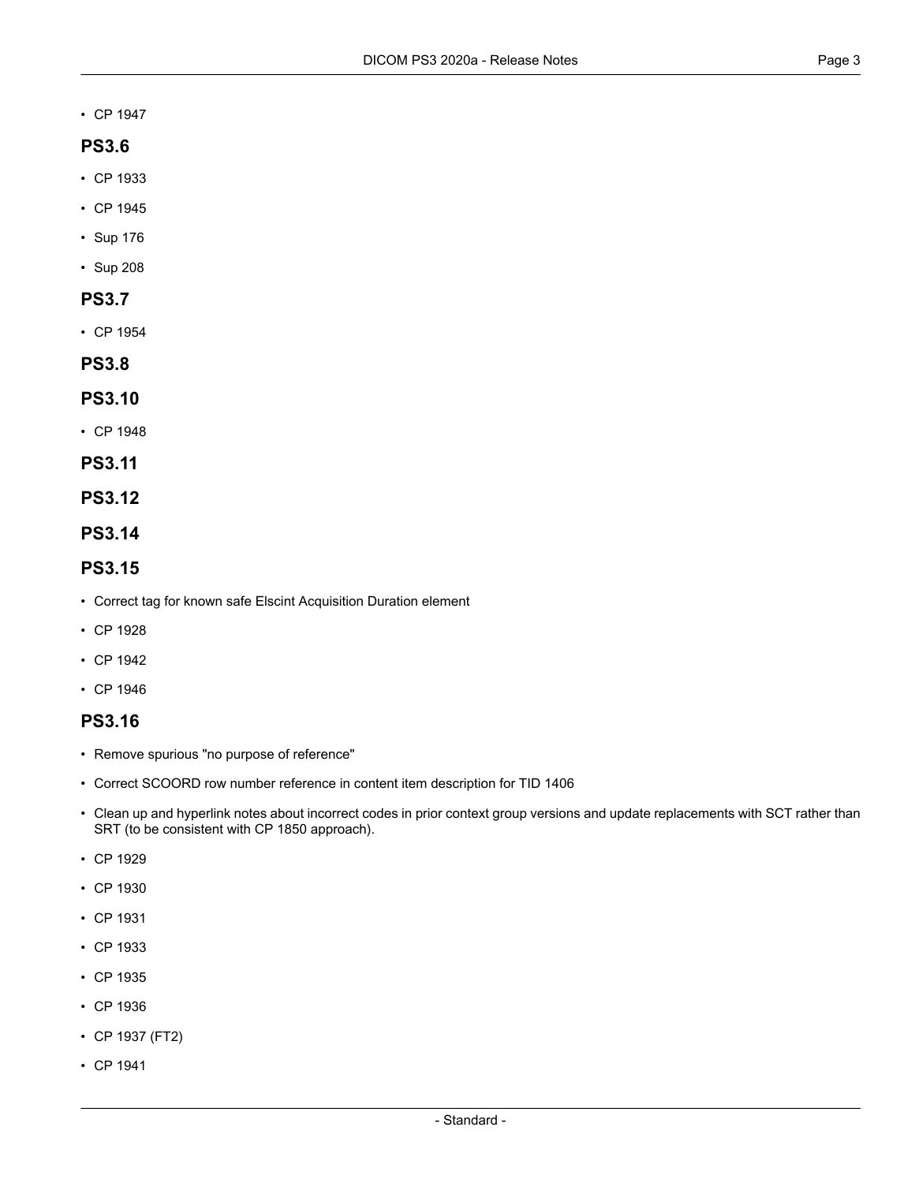• CP [1947](#page-4-3)

#### **PS3.6**

- CP [1933](#page-4-7)
- CP [1945](#page-4-8)
- [Sup](#page-3-0) 176
- [Sup](#page-4-0) 208

### **PS3.7**

• CP [1954](#page-5-0)

**PS3.8**

#### **PS3.10**

- CP [1948](#page-4-9)
- **PS3.11**

#### **PS3.12**

**PS3.14**

#### **PS3.15**

- Correct tag for known safe Elscint Acquisition Duration element
- CP [1928](#page-4-10)
- CP [1942](#page-4-11)
- CP [1946](#page-4-12)

### **PS3.16**

- Remove spurious "no purpose of reference"
- Correct SCOORD row number reference in content item description for TID 1406
- Clean up and hyperlink notes about incorrect codes in prior context group versions and update replacements with SCT rather than SRT (to be consistent with CP 1850 approach).
- CP [1929](#page-4-13)
- CP [1930](#page-4-14)
- CP [1931](#page-4-1)
- CP [1933](#page-4-7)
- CP [1935](#page-4-15)
- CP [1936](#page-4-16)
- CP [1937](#page-4-17) (FT2)
- CP [1941](#page-4-18)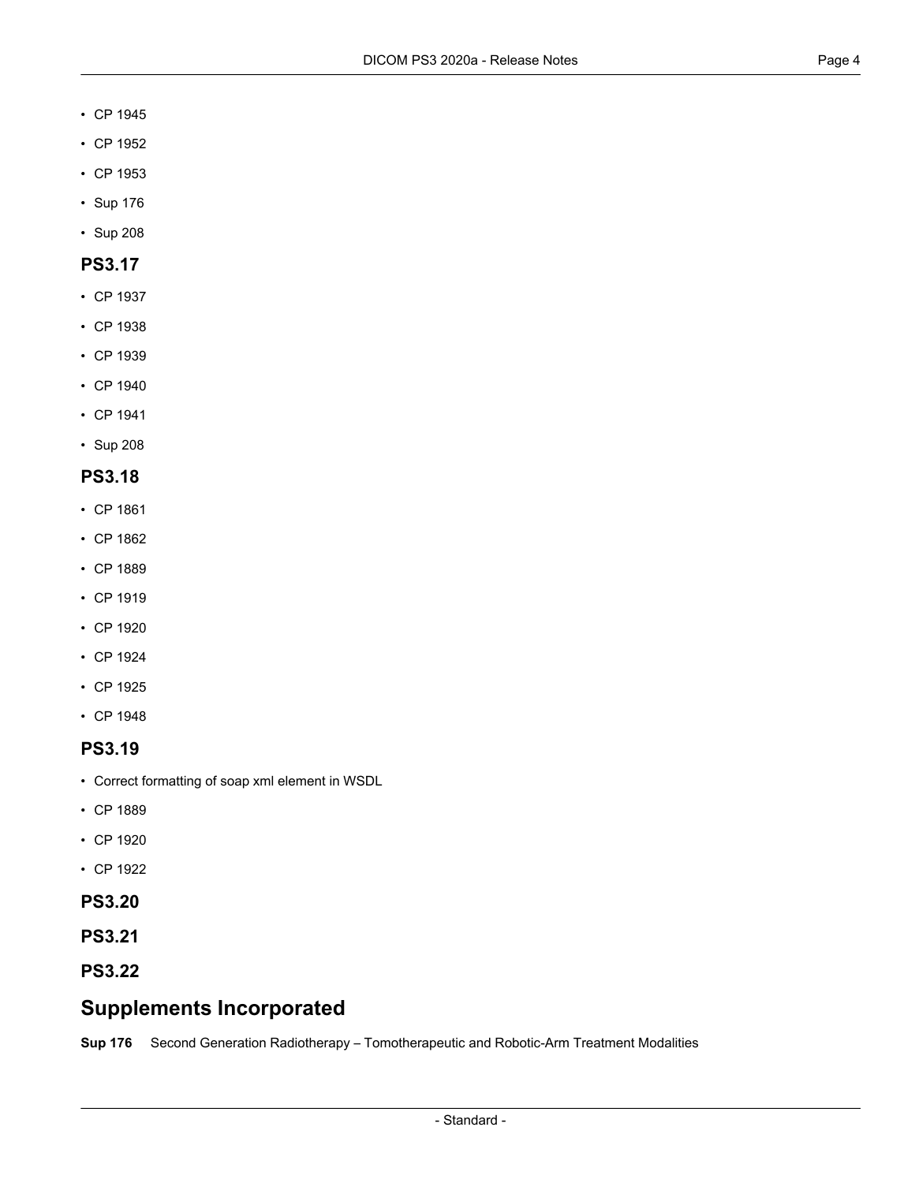- CP [1945](#page-4-8)
- CP [1952](#page-4-19)
- CP [1953](#page-5-1)
- [Sup](#page-3-0) 176
- [Sup](#page-4-0) 208

#### **PS3.17**

- CP [1937](#page-4-17)
- CP [1938](#page-4-20)
- CP [1939](#page-4-21)
- CP [1940](#page-4-22)
- CP [1941](#page-4-18)
- [Sup](#page-4-0) 208

#### **PS3.18**

- CP [1861](#page-4-23)
- CP [1862](#page-4-24)
- CP [1889](#page-4-25)
- CP [1919](#page-4-26)
- CP [1920](#page-4-27)
- CP [1924](#page-4-28)
- CP [1925](#page-4-29)
- CP [1948](#page-4-9)

#### **PS3.19**

- Correct formatting of soap xml element in WSDL
- CP [1889](#page-4-25)
- CP [1920](#page-4-27)
- CP [1922](#page-4-30)
- **PS3.20**
- <span id="page-3-0"></span>**PS3.21**
- **PS3.22**

# **Supplements Incorporated**

**[Sup](ftp://medical.nema.org/medical/dicom/final/sup176_ft_NewRTRadiations.pdf) 176** Second Generation Radiotherapy – Tomotherapeutic and Robotic-Arm Treatment Modalities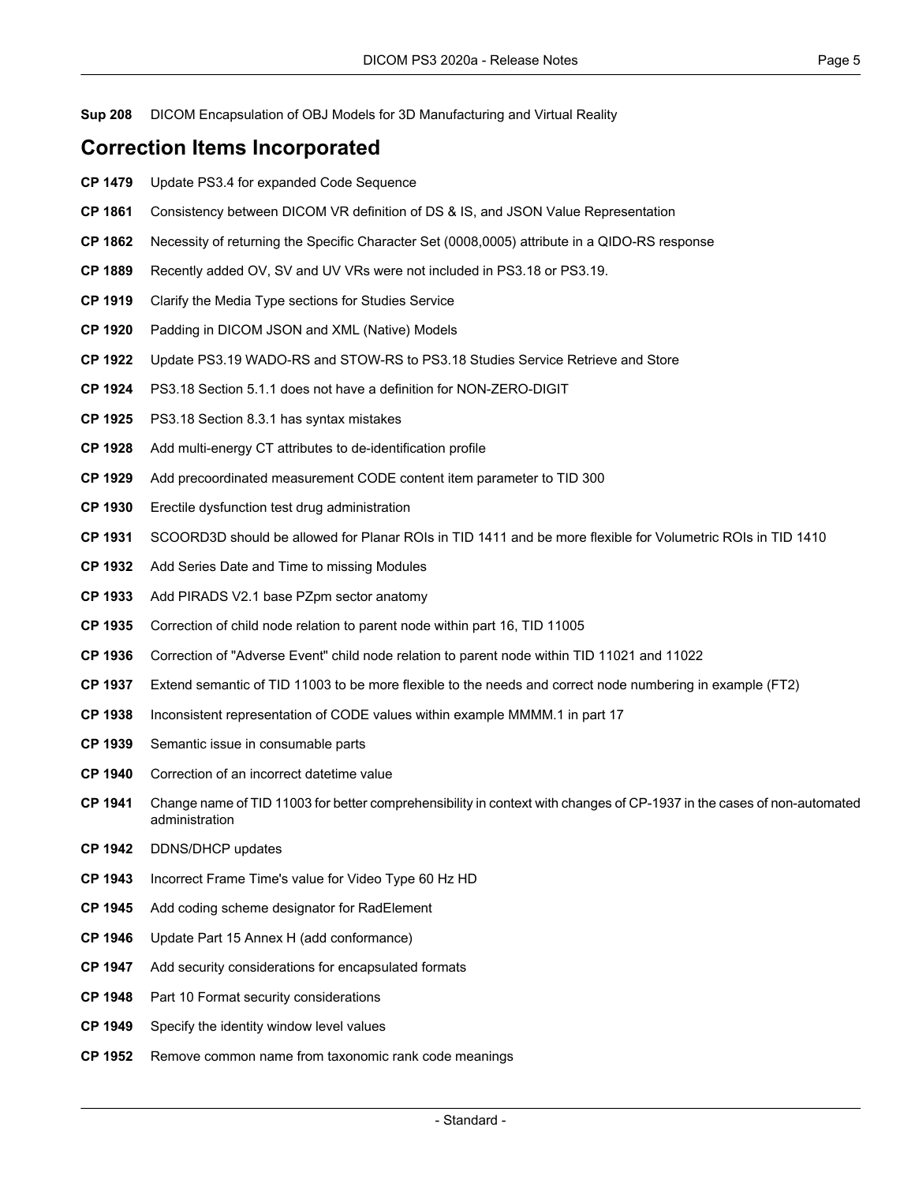<span id="page-4-0"></span>**[Sup](ftp://medical.nema.org/medical/dicom/final/sup208_ft_DICOM_Ext_Encapsulation_of_Models_for_3D_Manu.pdf) 208** DICOM Encapsulation of OBJ Models for 3D Manufacturing and Virtual Reality

## **Correction Items Incorporated**

- <span id="page-4-23"></span><span id="page-4-5"></span>**CP [1479](ftp://medical.nema.org/medical/dicom/final/cp1479_ft_UpdatePart4ForExpandedCodeSequence.pdf)** Update PS3.4 for expanded Code Sequence
- <span id="page-4-24"></span>**CP [1861](ftp://medical.nema.org/medical/dicom/final/cp1861_ft_changeJSONvaluetypemappingISandDS.pdf)** Consistency between DICOM VR definition of DS & IS, and JSON Value Representation
- <span id="page-4-25"></span>**CP [1862](ftp://medical.nema.org/medical/dicom/final/cp1862_ft_removeCharSetfromQIDOResponse.pdf)** Necessity of returning the Specific Character Set (0008,0005) attribute in a QIDO-RS response
- <span id="page-4-26"></span>**CP [1889](ftp://medical.nema.org/medical/dicom/final/cp1889_ft_newvrswebservicesandapi.pdf)** Recently added OV, SV and UV VRs were not included in PS3.18 or PS3.19.
- <span id="page-4-27"></span>**CP [1919](ftp://medical.nema.org/medical/dicom/final/cp1919_ft_rs_studies_media_types.pdf)** Clarify the Media Type sections for Studies Service
- <span id="page-4-30"></span>**CP [1920](ftp://medical.nema.org/medical/dicom/final/cp1920_ft_paddingInJSON.pdf)** Padding in DICOM JSON and XML (Native) Models
- <span id="page-4-28"></span>**CP [1922](ftp://medical.nema.org/medical/dicom/final/cp1922_ft_ps19correspondtops18.pdf)** Update PS3.19 WADO-RS and STOW-RS to PS3.18 Studies Service Retrieve and Store
- <span id="page-4-29"></span>**CP [1924](ftp://medical.nema.org/medical/dicom/final/cp1924_ft_non-zero-digit.pdf)** PS3.18 Section 5.1.1 does not have a definition for NON-ZERO-DIGIT
- <span id="page-4-13"></span><span id="page-4-10"></span>**CP [1925](ftp://medical.nema.org/medical/dicom/final/cp1925_ft_fix_qp_syntax.pdf)** PS3.18 Section 8.3.1 has syntax mistakes
- <span id="page-4-14"></span>**CP [1928](ftp://medical.nema.org/medical/dicom/final/cp1928_ft_multienergyctdeid.pdf)** Add multi-energy CT attributes to de-identification profile
- <span id="page-4-1"></span>**CP [1929](ftp://medical.nema.org/medical/dicom/final/cp1929_ft_precoordmxparam.pdf)** Add precoordinated measurement CODE content item parameter to TID 300
- <span id="page-4-2"></span>**CP [1930](ftp://medical.nema.org/medical/dicom/final/cp1930_ft_eddrugadmin.pdf)** Erectile dysfunction test drug administration
- <span id="page-4-7"></span>**CP [1931](ftp://medical.nema.org/medical/dicom/final/cp1931_ft_SCOORD3DplanarROI.pdf)** SCOORD3D should be allowed for Planar ROIs in TID 1411 and be more flexible for Volumetric ROIs in TID 1410
- <span id="page-4-15"></span>**CP [1932](ftp://medical.nema.org/medical/dicom/final/cp1932_ft_SeriesDateTimeWhenMissing.pdf)** Add Series Date and Time to missing Modules
- <span id="page-4-16"></span>**CP [1933](ftp://medical.nema.org/medical/dicom/final/cp1933_ft_AddPIRADSV21_PZpmSectorAnatomy.pdf)** Add PIRADS V2.1 base PZpm sector anatomy
- <span id="page-4-17"></span>**CP [1935](ftp://medical.nema.org/medical/dicom/final/cp1935_ft_part16_IAASR_ImagingAgentAdminConsumable.pdf)** Correction of child node relation to parent node within part 16, TID 11005
- <span id="page-4-21"></span><span id="page-4-20"></span>**CP [1936](ftp://medical.nema.org/medical/dicom/final/cp1936_ft_part16_IAASR_CorrectionOfChildNodeRelations.pdf)** Correction of "Adverse Event" child node relation to parent node within TID 11021 and 11022
- <span id="page-4-22"></span>**CP [1937](ftp://medical.nema.org/medical/dicom/final/cp1937_ft2_part16_part17_IAASR_ExtendSemanticOfTID11003AdjustExampleMMMMRenumberingIssues.pdf)** Extend semantic of TID 11003 to be more flexible to the needs and correct node numbering in example (FT2)
- <span id="page-4-18"></span>**CP [1938](ftp://medical.nema.org/medical/dicom/final/cp1938_ft_part17_IAASR_InconsistentRepresentationOfCodes.pdf)** Inconsistent representation of CODE values within example MMMM.1 in part 17
- **CP [1939](ftp://medical.nema.org/medical/dicom/final/cp1939_ft_part17_IAASR_SemanticIssueInConsumableParts.pdf)** Semantic issue in consumable parts
- <span id="page-4-11"></span>**CP [1940](ftp://medical.nema.org/medical/dicom/final/cp1940_ft_part17_IAASR_CorrectionOfIncorrectDateTimeValueInExample.pdf)** Correction of an incorrect datetime value
- <span id="page-4-8"></span><span id="page-4-6"></span>**CP [1941](ftp://medical.nema.org/medical/dicom/final/cp1941_ft_part16_part17_IAASR_RenameImageAgentAdministrationSyringePumpPhaseActivityTemplate.pdf)** Change name of TID 11003 for better comprehensibility in context with changes of CP-1937 in the cases of non-automated administration
- <span id="page-4-12"></span>**CP [1942](ftp://medical.nema.org/medical/dicom/final/cp1942_ft_update_dhcp_description.pdf)** DDNS/DHCP updates
- <span id="page-4-3"></span>**CP [1943](ftp://medical.nema.org/medical/dicom/final/cp1943_ft_IncorrectFrameTimevalueforVideoType60HzHD.pdf)** Incorrect Frame Time's value for Video Type 60 Hz HD
- <span id="page-4-9"></span>**CP [1945](ftp://medical.nema.org/medical/dicom/final/cp1945_ft_RadElementCSDcp1945_ft_RadElementCSD.pdf)** Add coding scheme designator for RadElement
- <span id="page-4-19"></span><span id="page-4-4"></span>**CP [1946](ftp://medical.nema.org/medical/dicom/final/cp1946_ft_part15_annexH_update_rfcs_add_conformance.pdf)** Update Part 15 Annex H (add conformance)
- **CP [1947](ftp://medical.nema.org/medical/dicom/final/cp1947_ft_security_consideration_3rd_party_formats.pdf)** Add security considerations for encapsulated formats
- **CP [1948](ftp://medical.nema.org/medical/dicom/final/cp1948_ft_part10_security_consideration.pdf)** Part 10 Format security considerations
- **CP [1949](ftp://medical.nema.org/medical/dicom/final/cp1949_ft_identityWL.pdf)** Specify the identity window level values
- **CP [1952](ftp://medical.nema.org/medical/dicom/final/cp1952_ft_RemoveSpeciesCommonName.pdf)** Remove common name from taxonomic rank code meanings